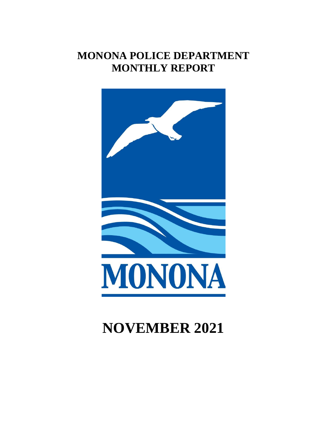# **MONONA POLICE DEPARTMENT MONTHLY REPORT**



# **NOVEMBER 2021**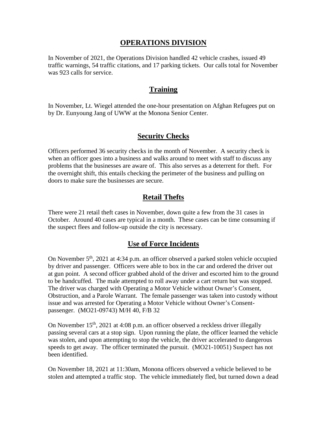### **OPERATIONS DIVISION**

In November of 2021, the Operations Division handled 42 vehicle crashes, issued 49 traffic warnings, 54 traffic citations, and 17 parking tickets. Our calls total for November was 923 calls for service.

#### **Training**

In November, Lt. Wiegel attended the one-hour presentation on Afghan Refugees put on by Dr. Eunyoung Jang of UWW at the Monona Senior Center.

## **Security Checks**

Officers performed 36 security checks in the month of November. A security check is when an officer goes into a business and walks around to meet with staff to discuss any problems that the businesses are aware of. This also serves as a deterrent for theft. For the overnight shift, this entails checking the perimeter of the business and pulling on doors to make sure the businesses are secure.

# **Retail Thefts**

There were 21 retail theft cases in November, down quite a few from the 31 cases in October. Around 40 cases are typical in a month. These cases can be time consuming if the suspect flees and follow-up outside the city is necessary.

## **Use of Force Incidents**

On November 5<sup>th</sup>, 2021 at 4:34 p.m. an officer observed a parked stolen vehicle occupied by driver and passenger. Officers were able to box in the car and ordered the driver out at gun point. A second officer grabbed ahold of the driver and escorted him to the ground to be handcuffed. The male attempted to roll away under a cart return but was stopped. The driver was charged with Operating a Motor Vehicle without Owner's Consent, Obstruction, and a Parole Warrant. The female passenger was taken into custody without issue and was arrested for Operating a Motor Vehicle without Owner's Consentpassenger. (MO21-09743) M/H 40, F/B 32

On November 15<sup>th</sup>, 2021 at 4:08 p.m. an officer observed a reckless driver illegally passing several cars at a stop sign. Upon running the plate, the officer learned the vehicle was stolen, and upon attempting to stop the vehicle, the driver accelerated to dangerous speeds to get away. The officer terminated the pursuit. (MO21-10051) Suspect has not been identified.

On November 18, 2021 at 11:30am, Monona officers observed a vehicle believed to be stolen and attempted a traffic stop. The vehicle immediately fled, but turned down a dead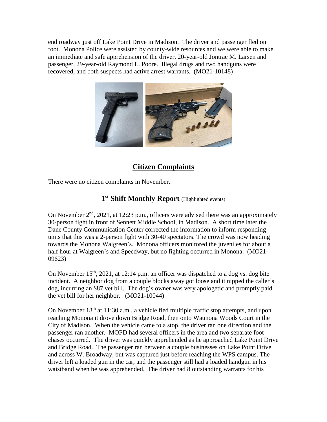end roadway just off Lake Point Drive in Madison. The driver and passenger fled on foot. Monona Police were assisted by county-wide resources and we were able to make an immediate and safe apprehension of the driver, 20-year-old Jontrae M. Larsen and passenger, 29-year-old Raymond L. Poore. Illegal drugs and two handguns were recovered, and both suspects had active arrest warrants. (MO21-10148)



# **Citizen Complaints**

There were no citizen complaints in November.

# **1 st Shift Monthly Report** (Highlighted events)

On November  $2<sup>nd</sup>$ , 2021, at 12:23 p.m., officers were advised there was an approximately 30-person fight in front of Sennett Middle School, in Madison. A short time later the Dane County Communication Center corrected the information to inform responding units that this was a 2-person fight with 30-40 spectators. The crowd was now heading towards the Monona Walgreen's. Monona officers monitored the juveniles for about a half hour at Walgreen's and Speedway, but no fighting occurred in Monona. (MO21- 09623)

On November  $15<sup>th</sup>$ , 2021, at 12:14 p.m. an officer was dispatched to a dog vs. dog bite incident. A neighbor dog from a couple blocks away got loose and it nipped the caller's dog, incurring an \$87 vet bill. The dog's owner was very apologetic and promptly paid the vet bill for her neighbor. (MO21-10044)

On November  $18<sup>th</sup>$  at  $11:30$  a.m., a vehicle fled multiple traffic stop attempts, and upon reaching Monona it drove down Bridge Road, then onto Waunona Woods Court in the City of Madison. When the vehicle came to a stop, the driver ran one direction and the passenger ran another. MOPD had several officers in the area and two separate foot chases occurred. The driver was quickly apprehended as he approached Lake Point Drive and Bridge Road. The passenger ran between a couple businesses on Lake Point Drive and across W. Broadway, but was captured just before reaching the WPS campus. The driver left a loaded gun in the car, and the passenger still had a loaded handgun in his waistband when he was apprehended. The driver had 8 outstanding warrants for his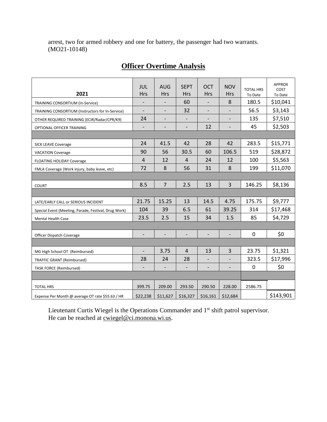arrest, two for armed robbery and one for battery, the passenger had two warrants. (MO21-10148)

| 2021                                                 | <b>JUL</b><br><b>Hrs</b> | <b>AUG</b><br><b>Hrs</b> | <b>SEPT</b><br><b>Hrs</b> | <b>OCT</b><br><b>Hrs</b> | <b>NOV</b><br><b>Hrs</b> | <b>TOTAL HRS</b><br>To Date | <b>APPROX</b><br>COST<br>To Date |
|------------------------------------------------------|--------------------------|--------------------------|---------------------------|--------------------------|--------------------------|-----------------------------|----------------------------------|
| TRAINING CONSORTIUM (In-Service)                     | $\overline{\phantom{0}}$ | $\overline{\phantom{a}}$ | 60                        | $\overline{\phantom{a}}$ | 8                        | 180.5                       | \$10,041                         |
| TRAINING CONSORTIUM (Instructors for In-Service)     | $\overline{\phantom{a}}$ |                          | 32                        | $\overline{\phantom{a}}$ | $\overline{\phantom{a}}$ | 56.5                        | \$3,143                          |
| OTHER REQUIRED TRAINING (ECIR/Radar/CPR/K9)          | 24                       | $\overline{\phantom{a}}$ |                           | -                        |                          | 135                         | \$7,510                          |
| OPTIONAL OFFICER TRAINING                            | $\overline{\phantom{0}}$ | -                        | -                         | 12                       | $\overline{\phantom{a}}$ | 45                          | \$2,503                          |
|                                                      |                          |                          |                           |                          |                          |                             |                                  |
| <b>SICK LEAVE Coverage</b>                           | 24                       | 41.5                     | 42                        | 28                       | 42                       | 283.5                       | \$15,771                         |
| <b>VACATION Coverage</b>                             | 90                       | 56                       | 30.5                      | 60                       | 106.5                    | 519                         | \$28,872                         |
| <b>FLOATING HOLIDAY Coverage</b>                     | $\overline{4}$           | 12                       | 4                         | 24                       | 12                       | 100                         | \$5,563                          |
| FMLA Coverage (Work injury, baby leave, etc)         | 72                       | 8                        | 56                        | 31                       | 8                        | 199                         | \$11,070                         |
|                                                      |                          |                          |                           |                          |                          |                             |                                  |
| <b>COURT</b>                                         | 8.5                      | $\overline{7}$           | 2.5                       | 13                       | $\overline{3}$           | 146.25                      | \$8,136                          |
|                                                      |                          |                          |                           |                          |                          |                             |                                  |
| LATE/EARLY CALL or SERIOUS INCIDENT                  | 21.75                    | 15.25                    | 13                        | 14.5                     | 4.75                     | 175.75                      | \$9,777                          |
| Special Event (Meeting, Parade, Festival, Drug Work) | 104                      | 39                       | 6.5                       | 61                       | 39.25                    | 314                         | \$17,468                         |
| <b>Mental Health Case</b>                            | 23.5                     | 2.5                      | 15                        | 34                       | 1.5                      | 85                          | \$4,729                          |
|                                                      |                          |                          |                           |                          |                          |                             |                                  |
| Officer Dispatch Coverage                            |                          | $\overline{\phantom{0}}$ | $\overline{\phantom{a}}$  | $\overline{\phantom{a}}$ | $\overline{\phantom{a}}$ | $\boldsymbol{0}$            | \$0                              |
|                                                      |                          |                          |                           |                          |                          |                             |                                  |
| MG High School OT (Reimbursed)                       | $\overline{\phantom{a}}$ | 3.75                     | $\overline{4}$            | 13                       | 3                        | 23.75                       | \$1,321                          |
| <b>TRAFFIC GRANT (Reimbursed)</b>                    | 28                       | 24                       | 28                        | $\overline{\phantom{0}}$ | $\overline{\phantom{0}}$ | 323.5                       | \$17,996                         |
| <b>TASK FORCE (Reimbursed)</b>                       |                          |                          | $\overline{\phantom{0}}$  | $\overline{\phantom{0}}$ |                          | 0                           | \$0                              |
|                                                      |                          |                          |                           |                          |                          |                             |                                  |
| <b>TOTAL HRS</b>                                     | 399.75                   | 209.00                   | 293.50                    | 290.50                   | 228.00                   | 2586.75                     |                                  |
| Expense Per Month @ average OT rate \$55.63 / HR     | \$22,238                 | \$11,627                 | \$16,327                  | \$16,161                 | \$12,684                 |                             | \$143,901                        |

# **Officer Overtime Analysis**

Lieutenant Curtis Wiegel is the Operations Commander and 1<sup>st</sup> shift patrol supervisor. He can be reached at <u>cwiegel@ci.monona.wi.us</u>.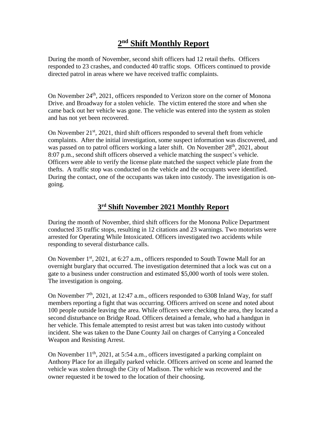# **2 nd Shift Monthly Report**

During the month of November, second shift officers had 12 retail thefts. Officers responded to 23 crashes, and conducted 40 traffic stops. Officers continued to provide directed patrol in areas where we have received traffic complaints.

On November  $24<sup>th</sup>$ , 2021, officers responded to Verizon store on the corner of Monona Drive. and Broadway for a stolen vehicle. The victim entered the store and when she came back out her vehicle was gone. The vehicle was entered into the system as stolen and has not yet been recovered.

On November  $21<sup>st</sup>$ , 2021, third shift officers responded to several theft from vehicle complaints. After the initial investigation, some suspect information was discovered, and was passed on to patrol officers working a later shift. On November 28<sup>th</sup>, 2021, about 8:07 p.m., second shift officers observed a vehicle matching the suspect's vehicle. Officers were able to verify the license plate matched the suspect vehicle plate from the thefts. A traffic stop was conducted on the vehicle and the occupants were identified. During the contact, one of the occupants was taken into custody. The investigation is ongoing.

# **3 rd Shift November 2021 Monthly Report**

During the month of November, third shift officers for the Monona Police Department conducted 35 traffic stops, resulting in 12 citations and 23 warnings. Two motorists were arrested for Operating While Intoxicated. Officers investigated two accidents while responding to several disturbance calls.

On November 1<sup>st</sup>, 2021, at 6:27 a.m., officers responded to South Towne Mall for an overnight burglary that occurred. The investigation determined that a lock was cut on a gate to a business under construction and estimated \$5,000 worth of tools were stolen. The investigation is ongoing.

On November  $7<sup>th</sup>$ , 2021, at 12:47 a.m., officers responded to 6308 Inland Way, for staff members reporting a fight that was occurring. Officers arrived on scene and noted about 100 people outside leaving the area. While officers were checking the area, they located a second disturbance on Bridge Road. Officers detained a female, who had a handgun in her vehicle. This female attempted to resist arrest but was taken into custody without incident. She was taken to the Dane County Jail on charges of Carrying a Concealed Weapon and Resisting Arrest.

On November  $11<sup>th</sup>$ , 2021, at 5:54 a.m., officers investigated a parking complaint on Anthony Place for an illegally parked vehicle. Officers arrived on scene and learned the vehicle was stolen through the City of Madison. The vehicle was recovered and the owner requested it be towed to the location of their choosing.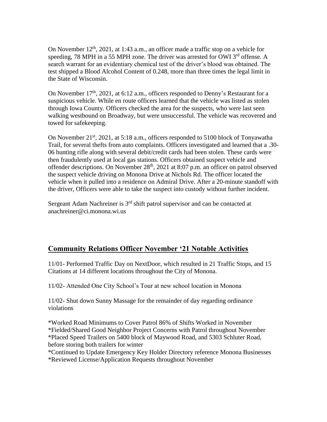On November  $12<sup>th</sup>$ , 2021, at 1:43 a.m., an officer made a traffic stop on a vehicle for speeding, 78 MPH in a 55 MPH zone. The driver was arrested for OWI 3<sup>rd</sup> offense. A search warrant for an evidentiary chemical test of the driver's blood was obtained. The test shipped a Blood Alcohol Content of 0.248, more than three times the legal limit in the State of Wisconsin.

On November 17<sup>th</sup>, 2021, at 6:12 a.m., officers responded to Denny's Restaurant for a suspicious vehicle. While en route officers learned that the vehicle was listed as stolen through Iowa County. Officers checked the area for the suspects, who were last seen walking westbound on Broadway, but were unsuccessful. The vehicle was recovered and towed for safekeeping.

On November  $21^{st}$ ,  $2021$ , at  $5:18$  a.m., officers responded to  $5100$  block of Tonyawatha Trail, for several thefts from auto complaints. Officers investigated and learned that a .30- 06 hunting rifle along with several debit/credit cards had been stolen. These cards were then fraudulently used at local gas stations. Officers obtained suspect vehicle and offender descriptions. On November  $28<sup>th</sup>$ , 2021 at 8:07 p.m. an officer on patrol observed the suspect vehicle driving on Monona Drive at Nichols Rd. The officer located the vehicle when it pulled into a residence on Admiral Drive. After a 20-minute standoff with the driver, Officers were able to take the suspect into custody without further incident.

Sergeant Adam Nachreiner is  $3<sup>rd</sup>$  shift patrol supervisor and can be contacted at anachreiner@ci.monona.wi.us

# **Community Relations Officer November '21 Notable Activities**

11/01- Performed Traffic Day on NextDoor, which resulted in 21 Traffic Stops, and 15 Citations at 14 different locations throughout the City of Monona.

11/02- Attended One City School's Tour at new school location in Monona

11/02- Shut down Sunny Massage for the remainder of day regarding ordinance violations

\*Worked Road Minimums to Cover Patrol 86% of Shifts Worked in November \*Fielded/Shared Good Neighbor Project Concerns with Patrol throughout November \*Placed Speed Trailers on 5400 block of Maywood Road, and 5303 Schluter Road, before storing both trailers for winter

\*Continued to Update Emergency Key Holder Directory reference Monona Businesses

\*Reviewed License/Application Requests throughout November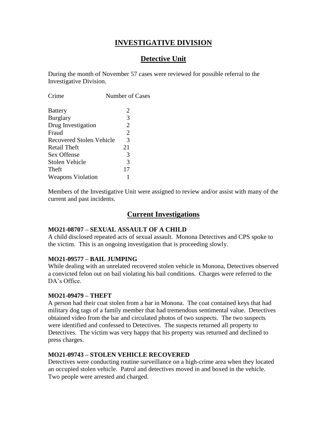# **INVESTIGATIVE DIVISION**

# **Detective Unit**

During the month of November 57 cases were reviewed for possible referral to the Investigative Division.

| Crime                           | Number of Cases |  |
|---------------------------------|-----------------|--|
| <b>Battery</b>                  | 2               |  |
| <b>Burglary</b>                 | 3               |  |
| Drug Investigation              | 2               |  |
| Fraud                           | 2               |  |
| <b>Recovered Stolen Vehicle</b> | 3               |  |
| Retail Theft                    | 21              |  |
| Sex Offense                     | 3               |  |
| Stolen Vehicle                  | 3               |  |
| Theft                           | 17              |  |
| <b>Weapons Violation</b>        |                 |  |
|                                 |                 |  |

Members of the Investigative Unit were assigned to review and/or assist with many of the current and past incidents.

# **Current Investigations**

#### **MO21-08707 – SEXUAL ASSAULT OF A CHILD**

A child disclosed repeated acts of sexual assault. Monona Detectives and CPS spoke to the victim. This is an ongoing investigation that is proceeding slowly.

#### **MO21-09577 – BAIL JUMPING**

While dealing with an unrelated recovered stolen vehicle in Monona, Detectives observed a convicted felon out on bail violating his bail conditions. Charges were referred to the DA's Office.

#### **MO21-09479 – THEFT**

A person had their coat stolen from a bar in Monona. The coat contained keys that had military dog tags of a family member that had tremendous sentimental value. Detectives obtained video from the bar and circulated photos of two suspects. The two suspects were identified and confessed to Detectives. The suspects returned all property to Detectives. The victim was very happy that his property was returned and declined to press charges.

#### **MO21-09743 – STOLEN VEHICLE RECOVERED**

Detectives were conducting routine surveillance on a high-crime area when they located an occupied stolen vehicle. Patrol and detectives moved in and boxed in the vehicle. Two people were arrested and charged.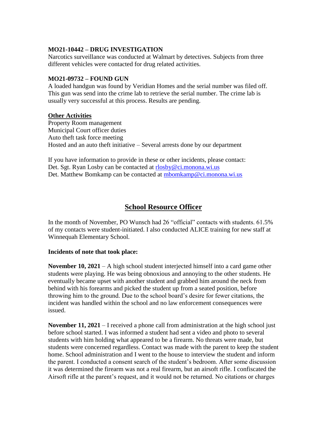#### **MO21-10442 – DRUG INVESTIGATION**

Narcotics surveillance was conducted at Walmart by detectives. Subjects from three different vehicles were contacted for drug related activities.

#### **MO21-09732 – FOUND GUN**

A loaded handgun was found by Veridian Homes and the serial number was filed off. This gun was send into the crime lab to retrieve the serial number. The crime lab is usually very successful at this process. Results are pending.

#### **Other Activities**

Property Room management Municipal Court officer duties Auto theft task force meeting Hosted and an auto theft initiative – Several arrests done by our department

If you have information to provide in these or other incidents, please contact: Det. Sgt. Ryan Losby can be contacted at [rlosby@ci.monona.wi.us](mailto:rlosby@ci.monona.wi.us) Det. Matthew Bomkamp can be contacted at [mbomkamp@ci.monona.wi.us](mailto:mbomkamp@ci.monona.wi.us)

# **School Resource Officer**

In the month of November, PO Wunsch had 26 "official" contacts with students. 61.5% of my contacts were student-initiated. I also conducted ALICE training for new staff at Winnequah Elementary School.

#### **Incidents of note that took place:**

**November 10, 2021** – A high school student interjected himself into a card game other students were playing. He was being obnoxious and annoying to the other students. He eventually became upset with another student and grabbed him around the neck from behind with his forearms and picked the student up from a seated position, before throwing him to the ground. Due to the school board's desire for fewer citations, the incident was handled within the school and no law enforcement consequences were issued.

**November 11, 2021** – I received a phone call from administration at the high school just before school started. I was informed a student had sent a video and photo to several students with him holding what appeared to be a firearm. No threats were made, but students were concerned regardless. Contact was made with the parent to keep the student home. School administration and I went to the house to interview the student and inform the parent. I conducted a consent search of the student's bedroom. After some discussion it was determined the firearm was not a real firearm, but an airsoft rifle. I confiscated the Airsoft rifle at the parent's request, and it would not be returned. No citations or charges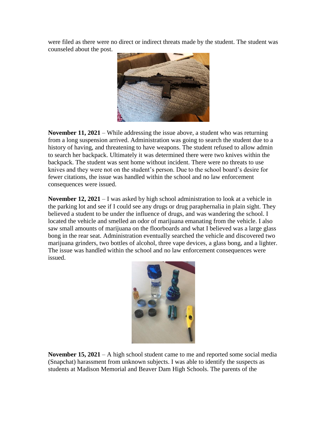were filed as there were no direct or indirect threats made by the student. The student was counseled about the post.



**November 11, 2021** – While addressing the issue above, a student who was returning from a long suspension arrived. Administration was going to search the student due to a history of having, and threatening to have weapons. The student refused to allow admin to search her backpack. Ultimately it was determined there were two knives within the backpack. The student was sent home without incident. There were no threats to use knives and they were not on the student's person. Due to the school board's desire for fewer citations, the issue was handled within the school and no law enforcement consequences were issued.

**November 12, 2021** – I was asked by high school administration to look at a vehicle in the parking lot and see if I could see any drugs or drug paraphernalia in plain sight. They believed a student to be under the influence of drugs, and was wandering the school. I located the vehicle and smelled an odor of marijuana emanating from the vehicle. I also saw small amounts of marijuana on the floorboards and what I believed was a large glass bong in the rear seat. Administration eventually searched the vehicle and discovered two marijuana grinders, two bottles of alcohol, three vape devices, a glass bong, and a lighter. The issue was handled within the school and no law enforcement consequences were issued.



**November 15, 2021** – A high school student came to me and reported some social media (Snapchat) harassment from unknown subjects. I was able to identify the suspects as students at Madison Memorial and Beaver Dam High Schools. The parents of the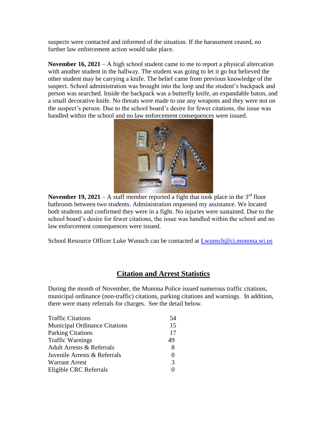suspects were contacted and informed of the situation. If the harassment ceased, no further law enforcement action would take place.

**November 16, 2021** – A high school student came to me to report a physical altercation with another student in the hallway. The student was going to let it go but believed the other student may be carrying a knife. The belief came from previous knowledge of the suspect. School administration was brought into the loop and the student's backpack and person was searched. Inside the backpack was a butterfly knife, an expandable baton, and a small decorative knife. No threats were made to use any weapons and they were not on the suspect's person. Due to the school board's desire for fewer citations, the issue was handled within the school and no law enforcement consequences were issued.



**November 19, 2021** – A staff member reported a fight that took place in the  $3^{rd}$  floor bathroom between two students. Administration requested my assistance. We located both students and confirmed they were in a fight. No injuries were sustained. Due to the school board's desire for fewer citations, the issue was handled within the school and no law enforcement consequences were issued.

School Resource Officer Luke Wunsch can be contacted at [Lwunsch@ci.monona.wi.us](mailto:Lwunsch@ci.monona.wi.us)

# **Citation and Arrest Statistics**

During the month of November, the Monona Police issued numerous traffic citations, municipal ordinance (non-traffic) citations, parking citations and warnings. In addition, there were many referrals for charges. See the detail below.

| <b>Traffic Citations</b>             | 54                |
|--------------------------------------|-------------------|
| <b>Municipal Ordinance Citations</b> | 15                |
| <b>Parking Citations</b>             | 17                |
| <b>Traffic Warnings</b>              | 49                |
| <b>Adult Arrests &amp; Referrals</b> | 8                 |
| Juvenile Arrests & Referrals         | $\mathbf{\Omega}$ |
| <b>Warrant Arrest</b>                | $\mathcal{R}$     |
| Eligible CRC Referrals               |                   |
|                                      |                   |